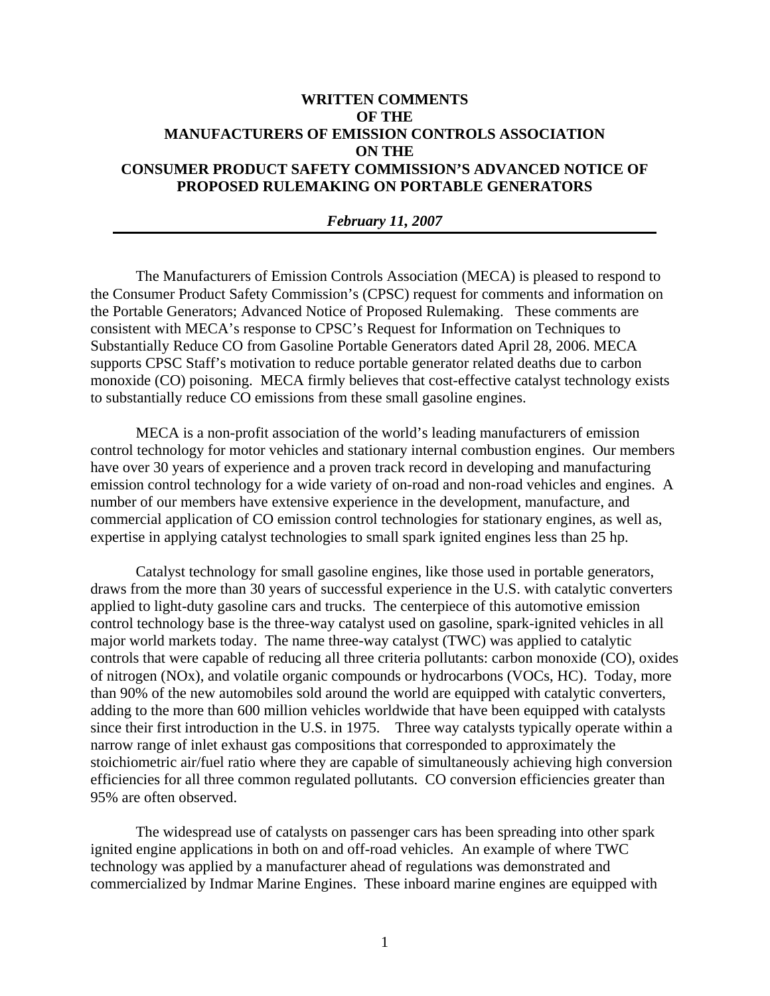## **WRITTEN COMMENTS OF THE MANUFACTURERS OF EMISSION CONTROLS ASSOCIATION ON THE CONSUMER PRODUCT SAFETY COMMISSION'S ADVANCED NOTICE OF PROPOSED RULEMAKING ON PORTABLE GENERATORS**

## *February 11, 2007*

The Manufacturers of Emission Controls Association (MECA) is pleased to respond to the Consumer Product Safety Commission's (CPSC) request for comments and information on the Portable Generators; Advanced Notice of Proposed Rulemaking. These comments are consistent with MECA's response to CPSC's Request for Information on Techniques to Substantially Reduce CO from Gasoline Portable Generators dated April 28, 2006. MECA supports CPSC Staff's motivation to reduce portable generator related deaths due to carbon monoxide (CO) poisoning. MECA firmly believes that cost-effective catalyst technology exists to substantially reduce CO emissions from these small gasoline engines.

MECA is a non-profit association of the world's leading manufacturers of emission control technology for motor vehicles and stationary internal combustion engines. Our members have over 30 years of experience and a proven track record in developing and manufacturing emission control technology for a wide variety of on-road and non-road vehicles and engines. A number of our members have extensive experience in the development, manufacture, and commercial application of CO emission control technologies for stationary engines, as well as, expertise in applying catalyst technologies to small spark ignited engines less than 25 hp.

Catalyst technology for small gasoline engines, like those used in portable generators, draws from the more than 30 years of successful experience in the U.S. with catalytic converters applied to light-duty gasoline cars and trucks. The centerpiece of this automotive emission control technology base is the three-way catalyst used on gasoline, spark-ignited vehicles in all major world markets today. The name three-way catalyst (TWC) was applied to catalytic controls that were capable of reducing all three criteria pollutants: carbon monoxide (CO), oxides of nitrogen (NOx), and volatile organic compounds or hydrocarbons (VOCs, HC). Today, more than 90% of the new automobiles sold around the world are equipped with catalytic converters, adding to the more than 600 million vehicles worldwide that have been equipped with catalysts since their first introduction in the U.S. in 1975. Three way catalysts typically operate within a narrow range of inlet exhaust gas compositions that corresponded to approximately the stoichiometric air/fuel ratio where they are capable of simultaneously achieving high conversion efficiencies for all three common regulated pollutants. CO conversion efficiencies greater than 95% are often observed.

The widespread use of catalysts on passenger cars has been spreading into other spark ignited engine applications in both on and off-road vehicles. An example of where TWC technology was applied by a manufacturer ahead of regulations was demonstrated and commercialized by Indmar Marine Engines. These inboard marine engines are equipped with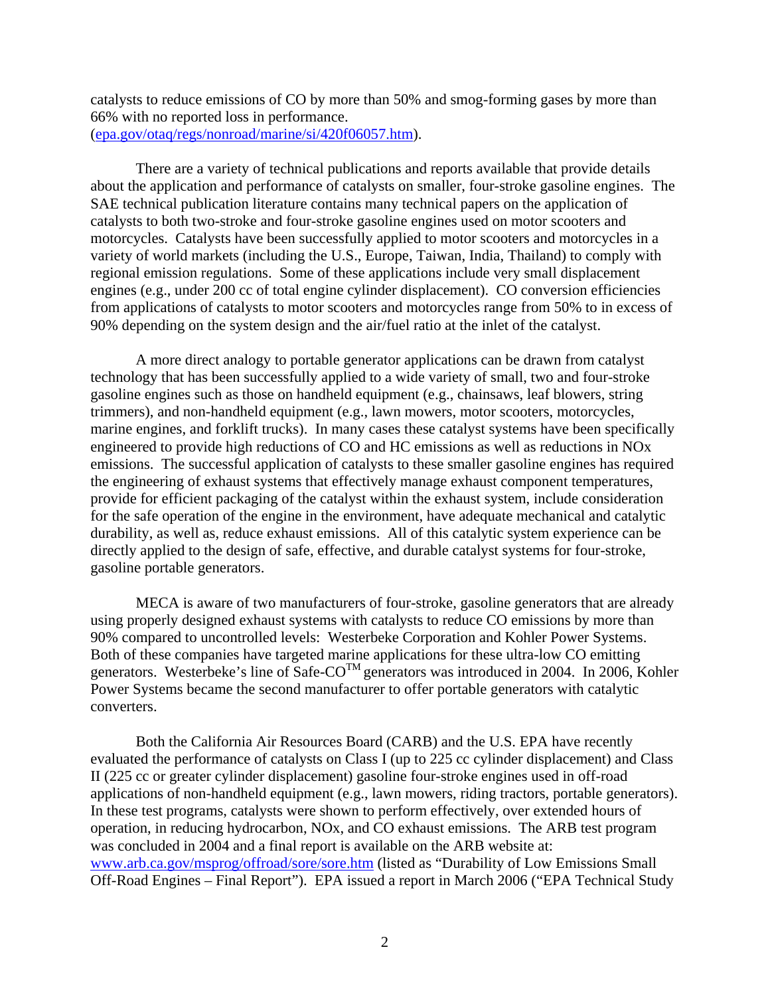catalysts to reduce emissions of CO by more than 50% and smog-forming gases by more than 66% with no reported loss in performance. ([epa.gov/otaq/regs/nonroad/marine/si/420f06057.htm\)](http://epa.gov/otaq/regs/nonroad/marine/si/420f06057.htm).

There are a variety of technical publications and reports available that provide details about the application and performance of catalysts on smaller, four-stroke gasoline engines. The SAE technical publication literature contains many technical papers on the application of catalysts to both two-stroke and four-stroke gasoline engines used on motor scooters and motorcycles. Catalysts have been successfully applied to motor scooters and motorcycles in a variety of world markets (including the U.S., Europe, Taiwan, India, Thailand) to comply with regional emission regulations. Some of these applications include very small displacement engines (e.g., under 200 cc of total engine cylinder displacement). CO conversion efficiencies from applications of catalysts to motor scooters and motorcycles range from 50% to in excess of 90% depending on the system design and the air/fuel ratio at the inlet of the catalyst.

A more direct analogy to portable generator applications can be drawn from catalyst technology that has been successfully applied to a wide variety of small, two and four-stroke gasoline engines such as those on handheld equipment (e.g., chainsaws, leaf blowers, string trimmers), and non-handheld equipment (e.g., lawn mowers, motor scooters, motorcycles, marine engines, and forklift trucks). In many cases these catalyst systems have been specifically engineered to provide high reductions of CO and HC emissions as well as reductions in NOx emissions. The successful application of catalysts to these smaller gasoline engines has required the engineering of exhaust systems that effectively manage exhaust component temperatures, provide for efficient packaging of the catalyst within the exhaust system, include consideration for the safe operation of the engine in the environment, have adequate mechanical and catalytic durability, as well as, reduce exhaust emissions. All of this catalytic system experience can be directly applied to the design of safe, effective, and durable catalyst systems for four-stroke, gasoline portable generators.

MECA is aware of two manufacturers of four-stroke, gasoline generators that are already using properly designed exhaust systems with catalysts to reduce CO emissions by more than 90% compared to uncontrolled levels: Westerbeke Corporation and Kohler Power Systems. Both of these companies have targeted marine applications for these ultra-low CO emitting generators. Westerbeke's line of Safe-CO<sup>TM</sup> generators was introduced in 2004. In 2006, Kohler Power Systems became the second manufacturer to offer portable generators with catalytic converters.

Both the California Air Resources Board (CARB) and the U.S. EPA have recently evaluated the performance of catalysts on Class I (up to 225 cc cylinder displacement) and Class II (225 cc or greater cylinder displacement) gasoline four-stroke engines used in off-road applications of non-handheld equipment (e.g., lawn mowers, riding tractors, portable generators). In these test programs, catalysts were shown to perform effectively, over extended hours of operation, in reducing hydrocarbon, NOx, and CO exhaust emissions. The ARB test program was concluded in 2004 and a final report is available on the ARB website at: [www.arb.ca.gov/msprog/offroad/sore/sore.htm](http://www.arb.ca.gov/msprog/offroad/sore/sore.htm) (listed as "Durability of Low Emissions Small Off-Road Engines – Final Report"). EPA issued a report in March 2006 ("EPA Technical Study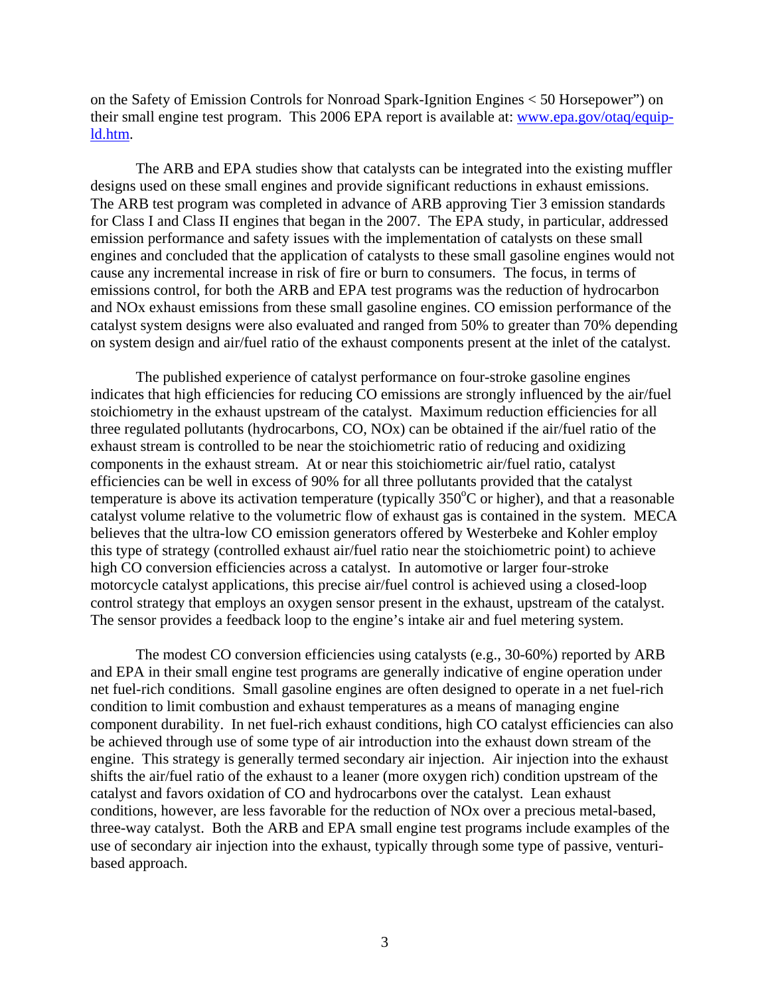on the Safety of Emission Controls for Nonroad Spark-Ignition Engines < 50 Horsepower") on their small engine test program. This 2006 EPA report is available at: [www.epa.gov/otaq/equip](http://www.epa.gov/otaq/equip-ld.htm)[ld.htm.](http://www.epa.gov/otaq/equip-ld.htm)

The ARB and EPA studies show that catalysts can be integrated into the existing muffler designs used on these small engines and provide significant reductions in exhaust emissions. The ARB test program was completed in advance of ARB approving Tier 3 emission standards for Class I and Class II engines that began in the 2007. The EPA study, in particular, addressed emission performance and safety issues with the implementation of catalysts on these small engines and concluded that the application of catalysts to these small gasoline engines would not cause any incremental increase in risk of fire or burn to consumers. The focus, in terms of emissions control, for both the ARB and EPA test programs was the reduction of hydrocarbon and NOx exhaust emissions from these small gasoline engines. CO emission performance of the catalyst system designs were also evaluated and ranged from 50% to greater than 70% depending on system design and air/fuel ratio of the exhaust components present at the inlet of the catalyst.

The published experience of catalyst performance on four-stroke gasoline engines indicates that high efficiencies for reducing CO emissions are strongly influenced by the air/fuel stoichiometry in the exhaust upstream of the catalyst. Maximum reduction efficiencies for all three regulated pollutants (hydrocarbons, CO, NOx) can be obtained if the air/fuel ratio of the exhaust stream is controlled to be near the stoichiometric ratio of reducing and oxidizing components in the exhaust stream. At or near this stoichiometric air/fuel ratio, catalyst efficiencies can be well in excess of 90% for all three pollutants provided that the catalyst temperature is above its activation temperature (typically  $350^{\circ}$ C or higher), and that a reasonable catalyst volume relative to the volumetric flow of exhaust gas is contained in the system. MECA believes that the ultra-low CO emission generators offered by Westerbeke and Kohler employ this type of strategy (controlled exhaust air/fuel ratio near the stoichiometric point) to achieve high CO conversion efficiencies across a catalyst. In automotive or larger four-stroke motorcycle catalyst applications, this precise air/fuel control is achieved using a closed-loop control strategy that employs an oxygen sensor present in the exhaust, upstream of the catalyst. The sensor provides a feedback loop to the engine's intake air and fuel metering system.

The modest CO conversion efficiencies using catalysts (e.g., 30-60%) reported by ARB and EPA in their small engine test programs are generally indicative of engine operation under net fuel-rich conditions. Small gasoline engines are often designed to operate in a net fuel-rich condition to limit combustion and exhaust temperatures as a means of managing engine component durability. In net fuel-rich exhaust conditions, high CO catalyst efficiencies can also be achieved through use of some type of air introduction into the exhaust down stream of the engine. This strategy is generally termed secondary air injection. Air injection into the exhaust shifts the air/fuel ratio of the exhaust to a leaner (more oxygen rich) condition upstream of the catalyst and favors oxidation of CO and hydrocarbons over the catalyst. Lean exhaust conditions, however, are less favorable for the reduction of NOx over a precious metal-based, three-way catalyst. Both the ARB and EPA small engine test programs include examples of the use of secondary air injection into the exhaust, typically through some type of passive, venturibased approach.